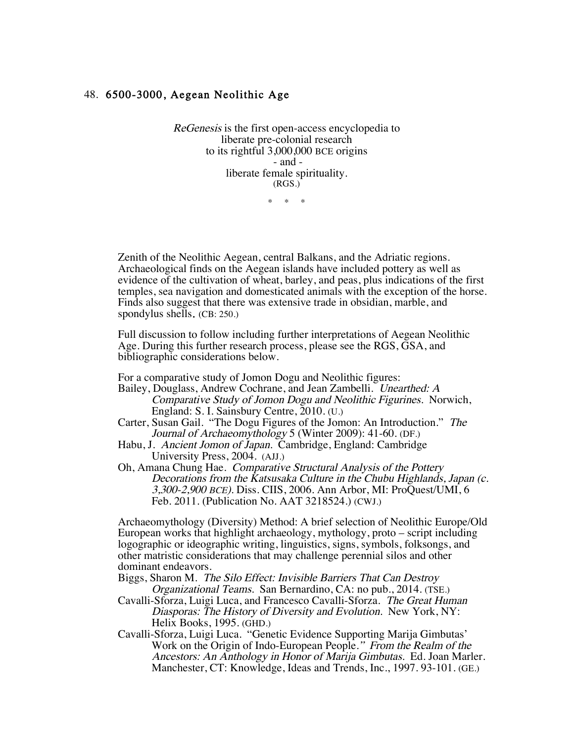## 48. 6500-3000, Aegean Neolithic Age

ReGenesis is the first open-access encyclopedia to liberate pre-colonial research to its rightful 3,000,000 BCE origins - and liberate female spirituality. (RGS.)

 $\star$   $\star$ 

 Zenith of the Neolithic Aegean, central Balkans, and the Adriatic regions. Archaeological finds on the Aegean islands have included pottery as well as evidence of the cultivation of wheat, barley, and peas, plus indications of the first temples, sea navigation and domesticated animals with the exception of the horse. Finds also suggest that there was extensive trade in obsidian, marble, and spondylus shells. (CB: 250.)

Full discussion to follow including further interpretations of Aegean Neolithic Age. During this further research process, please see the RGS, GSA, and bibliographic considerations below.

For a comparative study of Jomon Dogu and Neolithic figures:

Bailey, Douglass, Andrew Cochrane, and Jean Zambelli. Unearthed: A Comparative Study of Jomon Dogu and Neolithic Figurines. Norwich, England: S. I. Sainsbury Centre, 2010. (U.)

- Carter, Susan Gail. "The Dogu Figures of the Jomon: An Introduction." The Journal of Archaeomythology 5 (Winter 2009): 41-60. (DF.)
- Habu, J. Ancient Jomon of Japan. Cambridge, England: Cambridge University Press, 2004. (AJJ.)
- Oh, Amana Chung Hae. Comparative Structural Analysis of the Pottery Decorations from the Katsusaka Culture in the Chubu Highlands, Japan (c. 3,300-2,900 BCE). Diss. CIIS, 2006. Ann Arbor, MI: ProQuest/UMI, 6 Feb. 2011. (Publication No. AAT 3218524.) (CWJ.)

Archaeomythology (Diversity) Method: A brief selection of Neolithic Europe/Old European works that highlight archaeology, mythology, proto – script including logographic or ideographic writing, linguistics, signs, symbols, folksongs, and other matristic considerations that may challenge perennial silos and other dominant endeavors.

Biggs, Sharon M. The Silo Effect: Invisible Barriers That Can Destroy Organizational Teams. San Bernardino, CA: no pub., 2014. (TSE.)

- Cavalli-Sforza, Luigi Luca, and Francesco Cavalli-Sforza. The Great Human Diasporas: The History of Diversity and Evolution. New York, NY: Helix Books, 1995. (GHD.)
- Cavalli-Sforza, Luigi Luca. "Genetic Evidence Supporting Marija Gimbutas' Work on the Origin of Indo-European People." From the Realm of the Ancestors: An Anthology in Honor of Marija Gimbutas. Ed. Joan Marler. Manchester, CT: Knowledge, Ideas and Trends, Inc., 1997. 93-101. (GE.)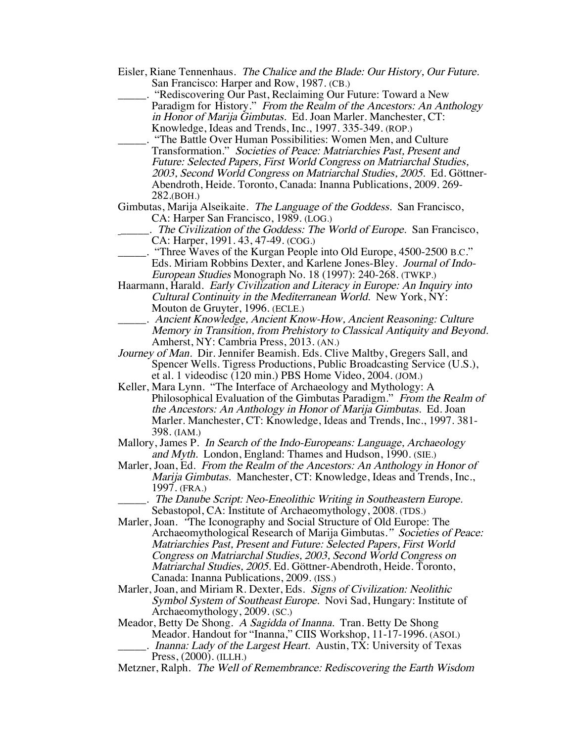- Eisler, Riane Tennenhaus. The Chalice and the Blade: Our History, Our Future. San Francisco: Harper and Row, 1987. (CB.)
	- "Rediscovering Our Past, Reclaiming Our Future: Toward a New Paradigm for History." From the Realm of the Ancestors: An Anthology in Honor of Marija Gimbutas. Ed. Joan Marler. Manchester, CT: Knowledge, Ideas and Trends, Inc., 1997. 335-349. (ROP.)
- \_\_\_\_\_. "The Battle Over Human Possibilities: Women Men, and Culture Transformation." Societies of Peace: Matriarchies Past, Present and Future: Selected Papers, First World Congress on Matriarchal Studies, 2003, Second World Congress on Matriarchal Studies, 2005. Ed. Göttner-Abendroth, Heide. Toronto, Canada: Inanna Publications, 2009. 269- 282.(BOH.)
- Gimbutas, Marija Alseikaite. The Language of the Goddess. San Francisco, CA: Harper San Francisco, 1989. (LOG.)
- <sub>\_\_\_\_\_\_</sub>. The Civilization of the Goddess: The World of Europe. San Francisco, CA: Harper, 1991. 43, 47-49. (COG.)
- \_\_\_\_\_. "Three Waves of the Kurgan People into Old Europe, 4500-2500 B.C." Eds. Miriam Robbins Dexter, and Karlene Jones-Bley. Journal of Indo-European Studies Monograph No. 18 (1997): 240-268. (TWKP.)
- Haarmann, Harald. Early Civilization and Literacy in Europe: An Inquiry into Cultural Continuity in the Mediterranean World. New York, NY: Mouton de Gruyter, 1996. (ECLE.)
	- \_\_\_\_\_. Ancient Knowledge, Ancient Know-How, Ancient Reasoning: Culture Memory in Transition, from Prehistory to Classical Antiquity and Beyond. Amherst, NY: Cambria Press, 2013. (AN.)
- Journey of Man. Dir. Jennifer Beamish. Eds. Clive Maltby, Gregers Sall, and Spencer Wells. Tigress Productions, Public Broadcasting Service (U.S.), et al. 1 videodisc (120 min.) PBS Home Video, 2004. (JOM.)
- Keller, Mara Lynn. "The Interface of Archaeology and Mythology: A Philosophical Evaluation of the Gimbutas Paradigm." From the Realm of the Ancestors: An Anthology in Honor of Marija Gimbutas. Ed. Joan Marler. Manchester, CT: Knowledge, Ideas and Trends, Inc., 1997. 381- 398. (IAM.)
- Mallory, James P. In Search of the Indo-Europeans: Language, Archaeology and Myth. London, England: Thames and Hudson, 1990. (SIE.)
- Marler, Joan, Ed. From the Realm of the Ancestors: An Anthology in Honor of Marija Gimbutas. Manchester, CT: Knowledge, Ideas and Trends, Inc., 1997. (FRA.)
	- \_\_\_\_\_. The Danube Script: Neo-Eneolithic Writing in Southeastern Europe. Sebastopol, CA: Institute of Archaeomythology, 2008. (TDS.)
- Marler, Joan. "The Iconography and Social Structure of Old Europe: The Archaeomythological Research of Marija Gimbutas." Societies of Peace: Matriarchies Past, Present and Future: Selected Papers, First World Congress on Matriarchal Studies, 2003, Second World Congress on Matriarchal Studies, 2005. Ed. Göttner-Abendroth, Heide. Toronto, Canada: Inanna Publications, 2009. (ISS.)
- Marler, Joan, and Miriam R. Dexter, Eds. Signs of Civilization: Neolithic Symbol System of Southeast Europe. Novi Sad, Hungary: Institute of Archaeomythology, 2009. (SC.)
- Meador, Betty De Shong. A Sagidda of Inanna. Tran. Betty De Shong Meador. Handout for "Inanna," CIIS Workshop, 11-17-1996. (ASOI.) .. Inanna: Lady of the Largest Heart. Austin, TX: University of Texas

Metzner, Ralph. The Well of Remembrance: Rediscovering the Earth Wisdom

Press, (2000). (ILLH.)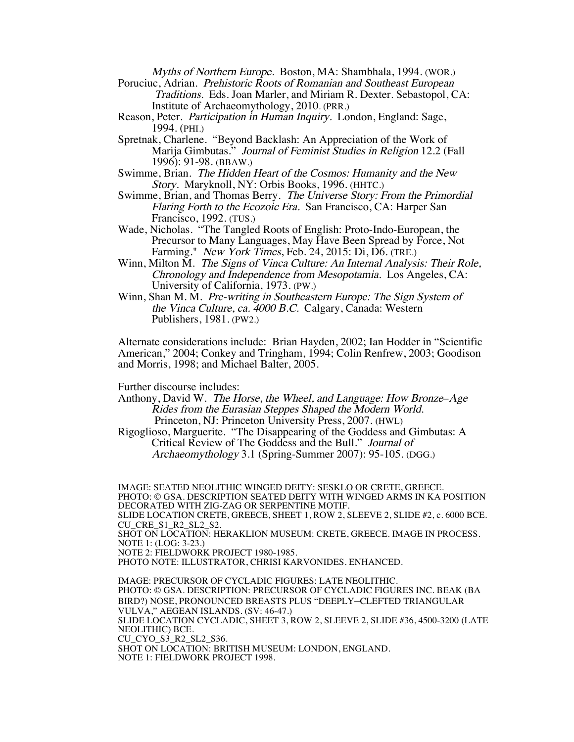Myths of Northern Europe. Boston, MA: Shambhala, 1994. (WOR.)

Poruciuc, Adrian. Prehistoric Roots of Romanian and Southeast European Traditions. Eds. Joan Marler, and Miriam R. Dexter. Sebastopol, CA: Institute of Archaeomythology, 2010. (PRR.)

- Reason, Peter. Participation in Human Inquiry. London, England: Sage, 1994. (PHI.)
- Spretnak, Charlene. "Beyond Backlash: An Appreciation of the Work of Marija Gimbutas." Journal of Feminist Studies in Religion 12.2 (Fall 1996): 91-98. (BBAW.)
- Swimme, Brian. The Hidden Heart of the Cosmos: Humanity and the New Story. Maryknoll, NY: Orbis Books, 1996. (HHTC.)
- Swimme, Brian, and Thomas Berry. The Universe Story: From the Primordial Flaring Forth to the Ecozoic Era. San Francisco, CA: Harper San Francisco, 1992. (TUS.)
- Wade, Nicholas. "The Tangled Roots of English: Proto-Indo-European, the Precursor to Many Languages, May Have Been Spread by Force, Not Farming." New York Times, Feb. 24, 2015: Di, D6. (TRE.)
- Winn, Milton M. The Signs of Vinca Culture: An Internal Analysis: Their Role, Chronology and Independence from Mesopotamia. Los Angeles, CA: University of California, 1973. (PW.)
- Winn, Shan M. M. Pre-writing in Southeastern Europe: The Sign System of the Vinca Culture, ca. 4000 B.C. Calgary, Canada: Western Publishers, 1981. (PW2.)

Alternate considerations include: Brian Hayden, 2002; Ian Hodder in "Scientific American," 2004; Conkey and Tringham, 1994; Colin Renfrew, 2003; Goodison and Morris, 1998; and Michael Balter, 2005.

Further discourse includes:

Anthony, David W. The Horse, the Wheel, and Language: How Bronze–Age Rides from the Eurasian Steppes Shaped the Modern World. Princeton, NJ: Princeton University Press, 2007. (HWL)

Rigoglioso, Marguerite. "The Disappearing of the Goddess and Gimbutas: A Critical Review of The Goddess and the Bull." Journal of Archaeomythology 3.1 (Spring-Summer 2007): 95-105. (DGG.)

IMAGE: SEATED NEOLITHIC WINGED DEITY: SESKLO OR CRETE, GREECE. PHOTO: © GSA. DESCRIPTION SEATED DEITY WITH WINGED ARMS IN KA POSITION DECORATED WITH ZIG-ZAG OR SERPENTINE MOTIF. SLIDE LOCATION CRETE, GREECE, SHEET 1, ROW 2, SLEEVE 2, SLIDE #2, c. 6000 BCE. CU\_CRE\_S1\_R2\_SL2\_S2. SHOT ON LOCATION: HERAKLION MUSEUM: CRETE, GREECE. IMAGE IN PROCESS. NOTE 1: (LOG: 3-23.) NOTE 2: FIELDWORK PROJECT 1980-1985. PHOTO NOTE: ILLUSTRATOR, CHRISI KARVONIDES. ENHANCED. IMAGE: PRECURSOR OF CYCLADIC FIGURES: LATE NEOLITHIC. PHOTO: © GSA. DESCRIPTION: PRECURSOR OF CYCLADIC FIGURES INC. BEAK (BA BIRD?) NOSE, PRONOUNCED BREASTS PLUS "DEEPLY–CLEFTED TRIANGULAR VULVA," AEGEAN ISLANDS. (SV: 46-47.) SLIDE LOCATION CYCLADIC, SHEET 3, ROW 2, SLEEVE 2, SLIDE #36, 4500-3200 (LATE NEOLITHIC) BCE. CU\_CYO\_S3\_R2\_SL2\_S36. SHOT ON LOCATION: BRITISH MUSEUM: LONDON, ENGLAND. NOTE 1: FIELDWORK PROJECT 1998.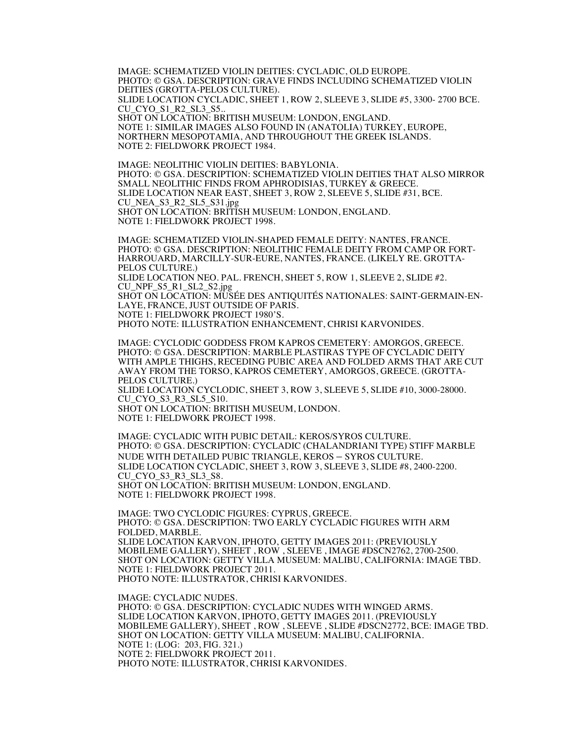IMAGE: SCHEMATIZED VIOLIN DEITIES: CYCLADIC, OLD EUROPE. PHOTO: © GSA. DESCRIPTION: GRAVE FINDS INCLUDING SCHEMATIZED VIOLIN DEITIES (GROTTA-PELOS CULTURE). SLIDE LOCATION CYCLADIC, SHEET 1, ROW 2, SLEEVE 3, SLIDE #5, 3300- 2700 BCE. CU CYO S1 R2 SL3 S5.. SHOT ON LOCATION: BRITISH MUSEUM: LONDON, ENGLAND. NOTE 1: SIMILAR IMAGES ALSO FOUND IN (ANATOLIA) TURKEY, EUROPE, NORTHERN MESOPOTAMIA, AND THROUGHOUT THE GREEK ISLANDS. NOTE 2: FIELDWORK PROJECT 1984.

IMAGE: NEOLITHIC VIOLIN DEITIES: BABYLONIA. PHOTO: © GSA. DESCRIPTION: SCHEMATIZED VIOLIN DEITIES THAT ALSO MIRROR SMALL NEOLITHIC FINDS FROM APHRODISIAS, TURKEY & GREECE. SLIDE LOCATION NEAR EAST, SHEET 3, ROW 2, SLEEVE 5, SLIDE #31, BCE. CU\_NEA\_S3\_R2\_SL5\_S31.jpg SHOT ON LOCATION: BRITISH MUSEUM: LONDON, ENGLAND. NOTE 1: FIELDWORK PROJECT 1998.

IMAGE: SCHEMATIZED VIOLIN-SHAPED FEMALE DEITY: NANTES, FRANCE. HARROUARD, MARCILLY-SUR-EURE, NANTES, FRANCE. (LIKELY RE. GROTTA-PELOS CULTURE.) SLIDE LOCATION NEO. PAL. FRENCH, SHEET 5, ROW 1, SLEEVE 2, SLIDE #2. CU\_NPF\_S5\_R1\_SL2\_S2.jpg SHOT ON LOCATION: MUSÉE DES ANTIQUITÉS NATIONALES: SAINT-GERMAIN-EN-LAYE, FRANCE, JUST OUTSIDE OF PARIS. NOTE 1: FIELDWORK PROJECT 1980'S. PHOTO NOTE: ILLUSTRATION ENHANCEMENT, CHRISI KARVONIDES.

IMAGE: CYCLODIC GODDESS FROM KAPROS CEMETERY: AMORGOS, GREECE. PHOTO: © GSA. DESCRIPTION: MARBLE PLASTIRAS TYPE OF CYCLADIC DEITY WITH AMPLE THIGHS, RECEDING PUBIC AREA AND FOLDED ARMS THAT ARE CUT AWAY FROM THE TORSO, KAPROS CEMETERY, AMORGOS, GREECE. (GROTTA-PELOS CULTURE.) SLIDE LOCATION CYCLODIC, SHEET 3, ROW 3, SLEEVE 5, SLIDE #10, 3000-28000. CU CYO S3 R3 SL5 S10. SHOT ON LOCATION: BRITISH MUSEUM, LONDON.

NOTE 1: FIELDWORK PROJECT 1998.

IMAGE: CYCLADIC WITH PUBIC DETAIL: KEROS/SYROS CULTURE. PHOTO: © GSA. DESCRIPTION: CYCLADIC (CHALANDRIANI TYPE) STIFF MARBLE NUDE WITH DETAILED PUBIC TRIANGLE, KEROS – SYROS CULTURE. SLIDE LOCATION CYCLADIC, SHEET 3, ROW 3, SLEEVE 3, SLIDE #8, 2400-2200. CU CYO S3 R3 SL3 S8. SHOT ON LOCATION: BRITISH MUSEUM: LONDON, ENGLAND. NOTE 1: FIELDWORK PROJECT 1998.

IMAGE: TWO CYCLODIC FIGURES: CYPRUS, GREECE. PHOTO: © GSA. DESCRIPTION: TWO EARLY CYCLADIC FIGURES WITH ARM FOLDED, MARBLE. SLIDE LOCATION KARVON, IPHOTO, GETTY IMAGES 2011: (PREVIOUSLY MOBILEME GALLERY), SHEET , ROW , SLEEVE , IMAGE #DSCN2762, 2700-2500. SHOT ON LOCATION: GETTY VILLA MUSEUM: MALIBU, CALIFORNIA: IMAGE TBD. NOTE 1: FIELDWORK PROJECT 2011. PHOTO NOTE: ILLUSTRATOR, CHRISI KARVONIDES.

IMAGE: CYCLADIC NUDES. PHOTO: © GSA. DESCRIPTION: CYCLADIC NUDES WITH WINGED ARMS. SLIDE LOCATION KARVON, IPHOTO, GETTY IMAGES 2011. (PREVIOUSLY MOBILEME GALLERY), SHEET , ROW , SLEEVE , SLIDE #DSCN2772, BCE: IMAGE TBD. SHOT ON LOCATION: GETTY VILLA MUSEUM: MALIBU, CALIFORNIA. NOTE 1: (LOG: 203, FIG. 321.) NOTE 2: FIELDWORK PROJECT 2011. PHOTO NOTE: ILLUSTRATOR, CHRISI KARVONIDES.